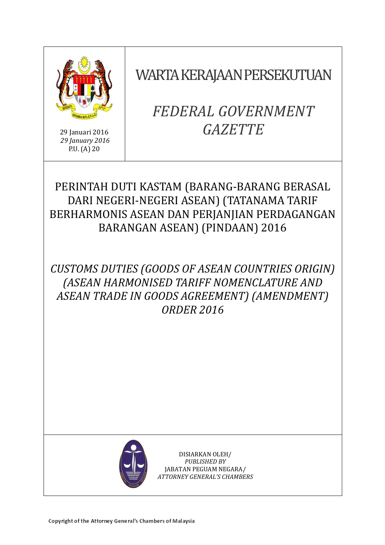

29 Januari 2016 *29 January 2016* P.U. (A) 20

WARTA KERAJAAN PERSEKUTUAN

# *FEDERAL GOVERNMENT GAZETTE*

# PERINTAH DUTI KASTAM (BARANG-BARANG BERASAL DARI NEGERI-NEGERI ASEAN) (TATANAMA TARIF BERHARMONIS ASEAN DAN PERJANJIAN PERDAGANGAN BARANGAN ASEAN) (PINDAAN) 2016

# *CUSTOMS DUTIES (GOODS OF ASEAN COUNTRIES ORIGIN) (ASEAN HARMONISED TARIFF NOMENCLATURE AND ASEAN TRADE IN GOODS AGREEMENT) (AMENDMENT) ORDER 2016*



DISIARKAN OLEH/ *PUBLISHED BY* JABATAN PEGUAM NEGARA/ *ATTORNEY GENERAL'S CHAMBERS*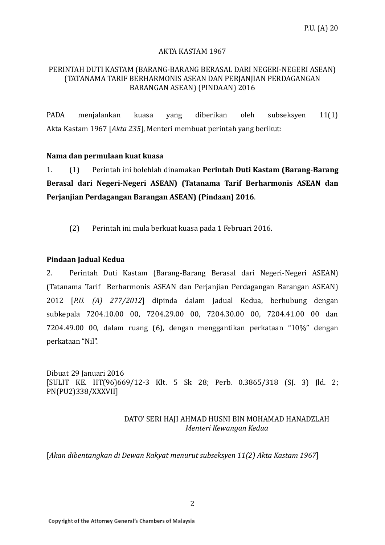### AKTA KASTAM 1967

### PERINTAH DUTI KASTAM (BARANG-BARANG BERASAL DARI NEGERI-NEGERI ASEAN) (TATANAMA TARIF BERHARMONIS ASEAN DAN PERJANJIAN PERDAGANGAN BARANGAN ASEAN) (PINDAAN) 2016

PADA menjalankan kuasa yang diberikan oleh subseksyen 11(1) Akta Kastam 1967 [*Akta 235*], Menteri membuat perintah yang berikut:

#### **Nama dan permulaan kuat kuasa**

1. (1) Perintah ini bolehlah dinamakan **Perintah Duti Kastam (Barang-Barang Berasal dari Negeri-Negeri ASEAN) (Tatanama Tarif Berharmonis ASEAN dan Perjanjian Perdagangan Barangan ASEAN) (Pindaan) 2016**.

(2) Perintah ini mula berkuat kuasa pada 1 Februari 2016.

## **Pindaan Jadual Kedua**

2. Perintah Duti Kastam (Barang-Barang Berasal dari Negeri-Negeri ASEAN) (Tatanama Tarif Berharmonis ASEAN dan Perjanjian Perdagangan Barangan ASEAN) 2012 [*P.U. (A) 277/2012*] dipinda dalam Jadual Kedua, berhubung dengan subkepala 7204.10.00 00, 7204.29.00 00, 7204.30.00 00, 7204.41.00 00 dan 7204.49.00 00, dalam ruang (6), dengan menggantikan perkataan "10%" dengan perkataan "Nil".

Dibuat 29 Januari 2016 [SULIT KE. HT(96)669/12-3 Klt. 5 Sk 28; Perb. 0.3865/318 (SJ. 3) Jld. 2; PN(PU2)338/XXXVII]

#### DATO' SERI HAJI AHMAD HUSNI BIN MOHAMAD HANADZLAH *Menteri Kewangan Kedua*

[*Akan dibentangkan di Dewan Rakyat menurut subseksyen 11(2) Akta Kastam 1967*]